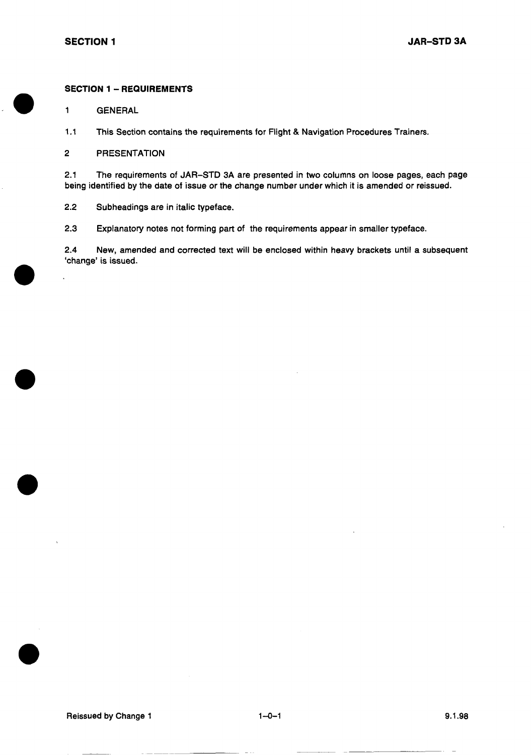*0* 

**SECTION 1 - REQUIREMENTS** 

**e1** GENERAL

**1.1** This Section contains the requirements for Flight & Navigation Procedures Trainers.

**2** PRESENTATION

**2.1**  being identified by the date of issue or the change number under which it is amended or reissued. The requirements of JAR-STD **3A** are presented in **two** columns on loose pages, each page

**2.2** Subheadings are in italic typeface.

**2.3** Explanatory notes not forming part of the requirements appear in smaller typeface.

**2.4** New, amended and corrected text will be enclosed within heavy brackets until a subsequent 'change' is issued.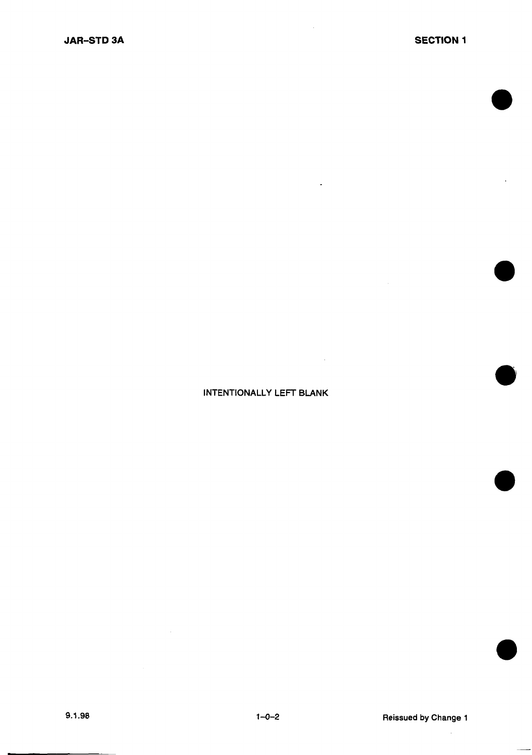**INTENTIONALLY LEFT BLANK** 

 $\sim 10$ 

 $\ddot{\phantom{a}}$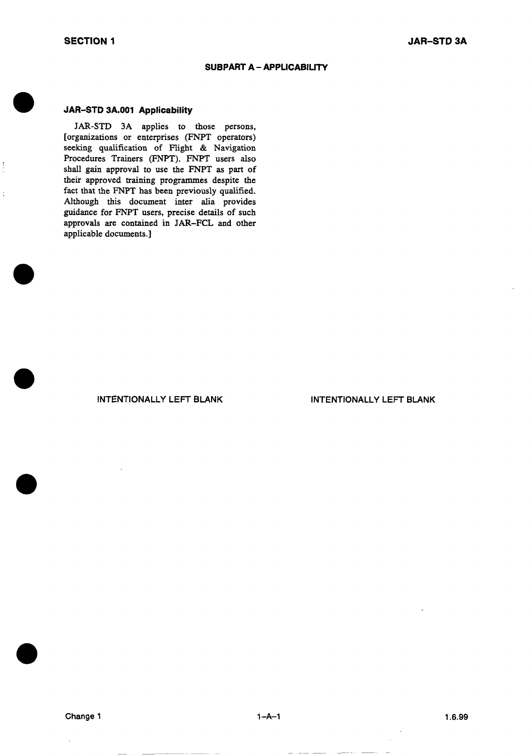## **SUBPART A** - **APPLICABILITY**

### *0* **JAR-STD 3A.001 Applicability**

**JAR-STD** 3A applies to those persons, [organizations or enterprises (FNPT operators) seeking qualification of Right & Navigation Procedures Trainers (FNPT). FNPT users also shall **gain** approval to use the FNPT **as** part of their approved **training** programmes despite the fact **that** the **FNPT** has been previously qualified. Although this document inter alia provides guidance for FNPT users, precise details of such approvals are contained in **JAR-FCL** and other applicable documents.]

## INTENTIONALLY LEFT BLANK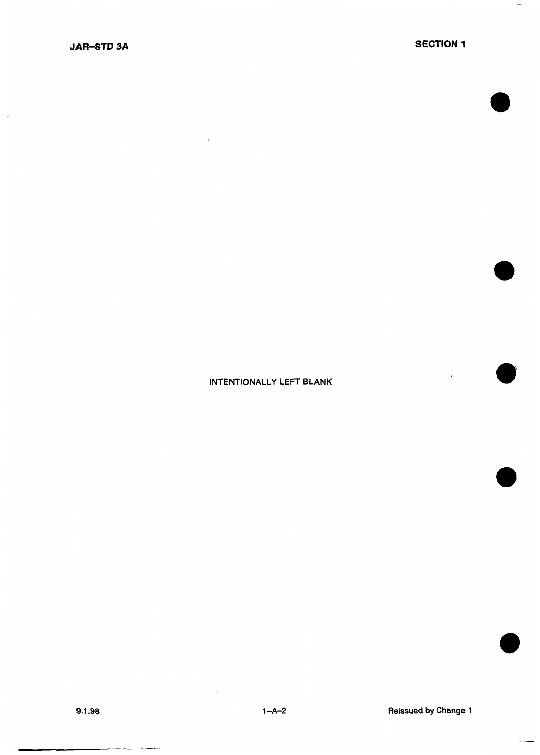$\ddot{\phantom{0}}$ 

-

*0* 

# **INTENTIONALLY LEFT BLANK**

-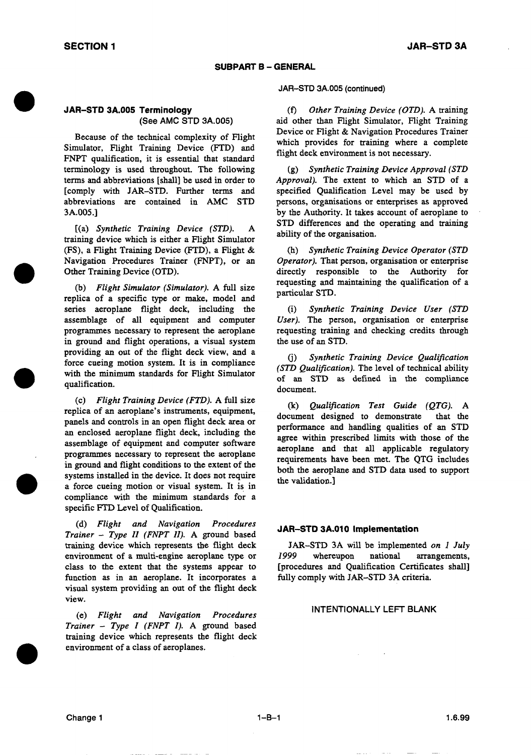**e** 

**e** 

### **SUBPART B** - **GENERAL**

Because of the technical complexity of Flight<br>Simulator, Flight Training Device (FTD) and<br>FNPT qualification, it is essential that standard<br>FNPT qualification, it is essential that standard terminology is used throughout. The following *terms* and *abbreviations* [shall] be used in order to terms and abbreviations [shall] be used in order to *Approval).* The extent to which an **STD** of a [comply with JAR-STD. Further terms and specified Qualification Level may be used by abbreviations are contained in AMC STD persons, organisations or enterprises as approved 3A.005.1 **by** the Authority. It takes account of aeroplane to

training device which is either a Flight Simulator (FS), a Flight Training Device (FTD), a Flight & *Navigation Procedures Trainer (FNPT)*, or an Other Training Device **(OTD).** directly responsible to the Authority for

(b) Flight Simulator (Simulator). A full size the reduction of a creation time or make model and particular STD. replica of a specific type or make, model and series aeroplane flight deck, including the (i) *Synthetic Training Device User (STD*  assemblage of all equipment and computer *User).* The person, Organisation or enterprise programmes necessary to represent the aeroplane requesting training and checking credits through in ground and flight operations, a visual system the use of an STD. providing *an* out of the flight deck view, and a force cueing motion system. It is in compliance with the minimum standards for Flight Simulator qualification.

(c) *Flight Training Device (FTD).* A full size replica of an aeroplane's instruments, equipment, panels and controls in an open flight deck area or an enclosed aeroplane flight deck, including the assemblage of equipment and computer software programmes necessary to represent the aeroplane in ground and flight conditions to the extent of the systems installed in the device. It does not require a force cueing motion or visual system. It is in compliance with the minimum standards for **a**  specific FTD Level of Qualification.

(d) *Flight and Navigation Procedures Trainer* - *Type II (FNPT II).* A ground based training device which represents the flight deck environment of a multi-engine aeroplane **type** or class to the extent that the systems appear to function as in an aeroplane. It incorporates a visual system providing an out of the flight deck view.

(e) *Flight and Navigation Procedures Trainer* - *Type I (FNPT I).* A ground based training device which represents the flight deck environment of a class of aeroplanes. **a** 

### JAR-STD 3A.005 (continued)

**14R-STD 3A.005 (continued)**<br>**14R-STD 3A.005 Terminology** (f) *Other Training Device (OTD)*. A training<br><sup>21</sup> *See AMC STD 3A 005* and other than Flight Simulator, Flight Training **(See AMC STD 3A.005) aid other than Flight Simulator, Flight Training**<br>Device or Flight & Navigation Procedures Trainer

> persons, organisations or enterprises as approved (g) Synthetic Training Device Approval (STD STD differences and the operating and training [(a) *Synthetic Training Device (STD).* **A** ability of the

> > Operator). That person, organisation or enterprise requesting and maintaining the qualification of a (h) Synthetic Training Device Operator (STD

0) *Synthetic Training Device Qualification (STD Qualification).* The level of technical ability of **an STD as** defined in the compliance document.

(k) *Qualification Test Guide (QTG).* A document designed to demonstrate that the performance and handling qualities of an STD agree within prescribed limits with those of the aeroplane **and** that all applicable regulatory requirements have been met. The QTG includes both the aeroplane and STD data used to support the validation.]

### **JAR-STD 3A.010 Implementation**

JAR-STD 3A will be implemented *on* 1 *July I999* whereupon national arrangements, [procedures and Qualification Certificates shall] fully comply with JAR-STD 3A criteria.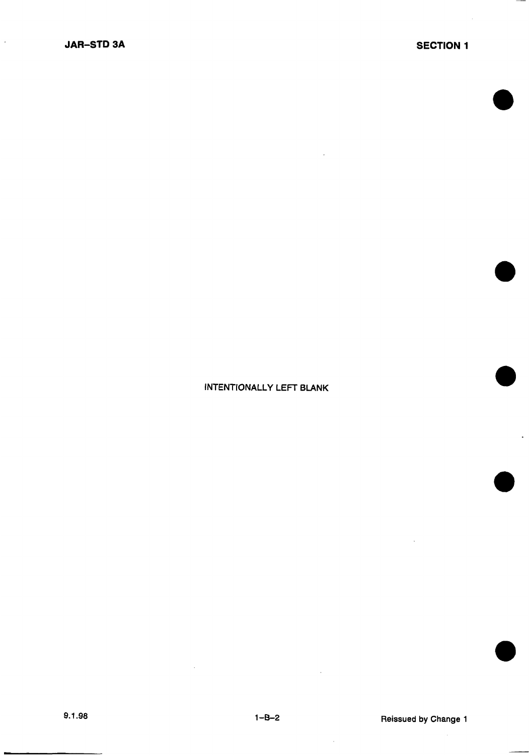$\ddot{\phantom{a}}$ 

# **INTENTIONALLY LEFT BLANK**

-

 $\bar{z}$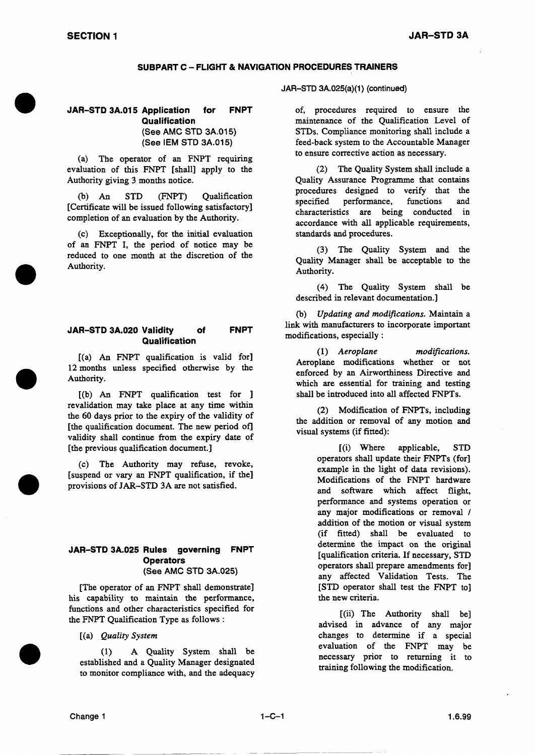## **SUBPART C** - **FLIGHT** & **NAVIGATION PROCEDURES TRAINERS**

## **JAR-STD 3A.015 Application for FNPT** of, procedures required to ensure the **Qualification (See** AMC **STD 3A.015) (See IEM CTD 3A.015)**

(a) The operator of an FNPT requiring evaluation of this FNPT [shall] apply to the Authority giving 3 months notice.

(b) *An* STD (FNPT) Qualification [Certificate will be issued following satisfactory] completion of an evaluation by the Authority.

(c) Exceptionally, for the initial evaluation of **an** FNPT-I, the period of notice may be reduced to one month at the discretion of the Authority. Authority.

## **JAR-STD 3A.020 Validity of FNPT Qualification**

**[(a)** *An* FNPT qualification is valid for] 12months unless specified otherwise by the Authority.

**[(b)** *An* FNPT qualification test for ] shall be introduced into all affected FNPTs. revalidation may take place at any time within the **60** days prior to the expiry of the validity of [the qualification document. The new period **ofl**  validity shall continue from the expiry date of [the previous qualification document.]

(c) The Authority may refuse, revoke, [suspend or vary an FNPT qualification, if the] provisions of JAR-STD 3A are not satisfied.

### **JAR-STD 3A.025 Rules governing FNPT Operators (See** AMC **STD 3A.025)**

[The operator of an FNPT shall demonstrate] his capability to maintain the performance, functions and other characteristics specified for the FNPT Qualification Type as follows :

[(a) *Quality System* 

(1) A Quality System shall be established and a Quality Manager designated to monitor compliance with, and the adequacy

JAR-STD 3A.O25(a)(l) (continued)

maintenance of the Qualification Level of **STDs.** Compliance monitoring shall include a feed-back system to the Accountable Manager to ensure corrective action as necessary.

The Quality System shall include a (2) Quality Assurance Programme that contains procedures designed to verify that the<br>specified performance. functions and specified performance, functions and characteristics are being conducted in accordance with **ail** applicable requirements,

(3) The Quality System and the Quality Manager shall be acceptable to the

**(4)** The Quality System shall be described in relevant documentation.]

**(b)** *Updating and modifications.* Maintain a link with manufacturers to incorporate important modifications, especially :

(1) *Aeroplane modifications.*  Aeroplane modifications whether or not enforced by an Airworthiness Directive and which are essential for training and testing

**(2)** Modification of FNPTs, including the addition or removal of any motion and visual systems (if fitted):

> **[(i)** Where applicable, STD operators shall update their **FNPTs** (for] example in the light of data revisions). Modifications of the FNPT hardware and software which affect flight, performance and systems operation or any major modifications or removal / addition of the motion or visual system (if fitted) shall be evaluated to determine the impact **on** the original [qualification criteria. If necessary, STD operators shall prepare amendments for] any affected Validation Tests. The [STD operator shall test the FNPT to] the new criteria.

> [(ii) The Authority shall be] advised **in** advance of any major changes to determine if a special evaluation of the FNPT may be necessary prior to returning it to training following the modification.

-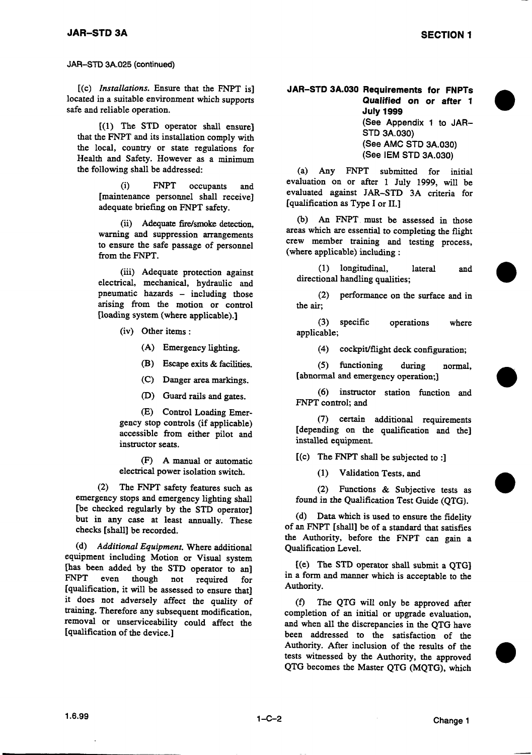**JAR-STD 3A.025 (continued)** 

[(c) *Installations*. Ensure that the FNPT is] located in a suitable environment which supports safe and reliable operation.

[(1) The STD operator shall ensure] that the FNPT and its installation comply with the local, country or state regulations for Health and Safety. However as a minimum the following shall be addressed:

> (i) FNPT occupants and [maintenance personnel shall receive] adequate briefing **on** FNPT safety.

> (ii) Adequate fire/smoke detection, warning and suppression arrangements to ensure the safe passage of personnel **from** the FNPT.

> (iii) Adequate protection against electrical, mechanical, hydraulic and pneumatic hazards - including those arising **from** the motion or control [loading system (where applicable).]

> > (iv) Other items :

(A) Emergency lighting.

(B) Escape exits & facilities.

(C) Danger area markings.

(D) Guard rails and gates.

(E) Control Loading Emergency stop controls (if applicable) accessible from either pilot and instructor seats.

(F) A manual or automatic electrical power isolation switch.

The FNPT safety features such as **(2)**  emergency stops and emergency lighting shall [be checked regularly by the STD operator] but in any case at least annually. These checks [shall] be recorded.

(d) *Additional Equipment.* Where additional equipment including Motion or Visual system [has been added by the STD operator to an] FNPT even though not required for [qualification, it will be assessed to ensure that] it does not adversely affect the quality of training. Therefore any subsequent modification, removal or unserviceability could affect the [qualification of the device.]

**JAR-STD 3 030 Requirements for FNPTs Qualified on or after 1 July 1999 (See Appendix 1 to JAR-STD** 3A.030) **(See** AMC **STD 3A.030) (See** IEM **STD 3A.030)** 

(a) Any FNPT submitted for initial evaluation **on** or after 1 July 1999, will be evaluated against JAR-STD 3A criteria for [qualification **as** Type I or 11.1

(b) *An* FNF'T must be assessed in those areas which are essential to completing the flight crew member training and testing process, (where applicable) including :

(1) longitudinal, lateral and directional handling qualities;

**(2)** performance **on** the surface and in the **air;** 

(3) specific operations where applicable;

**(4)** cockpit/flight deck configuration;

*(5)* functioning during normal, [abnormal and emergency operation;]

(6) instructor station function and FNPT control; and

**(7)** certain additional requirements [depending **on** the qualification and the] installed equipment.

[(c) The FNPT shall be subjected to :]

**(1)** Validation Tests, and

**(2)** Functions & Subjective tests as found in the Qualification Test Guide (QTG).

(d) Data which is used to ensure the fidelity of an FNPT [shall] be of a standard that satisfies the Authority, before the FNPT can gain a Qualification Level.

[(e) The STD operator shall submit a QTG] in a form and manner which is acceptable to the Authority.

The QTG will only be approved after completion of **an** initial or upgrade evaluation, and when all the discrepancies in the QTG have been addressed to the satisfaction of the Authority. After inclusion of the results of the tests witnessed by the Authority, the approved QTG becomes the Master QTG (MQTG), which *(0*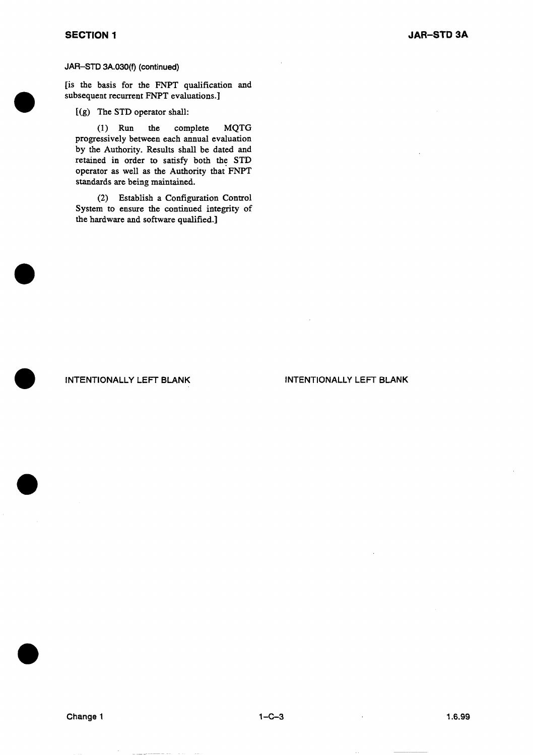## **JAR-STü 3A.O30(f) (continued)**

[is the basis for the FNPT qualification and subsequent recurrent **FNPT** evaluations.]

# **[(g) The STD** operator shall:

(1) Run the complete **MQTG**  progressively between each annual evaluation by the Authority. Results shall be dated and retained in order to satisfy both the STD operator **as** well as the Authority that **FNPT**  standards are **being** maintained.

(2) Establish a **Configuration** Control System to ensure the continued integrity of the hardware and software qualified.]

### **INTENTIONALLY LEFT BLANK INTENTIONALLY LEFT BLANK**

**Change 1 1** *-c-3* **1.6.99**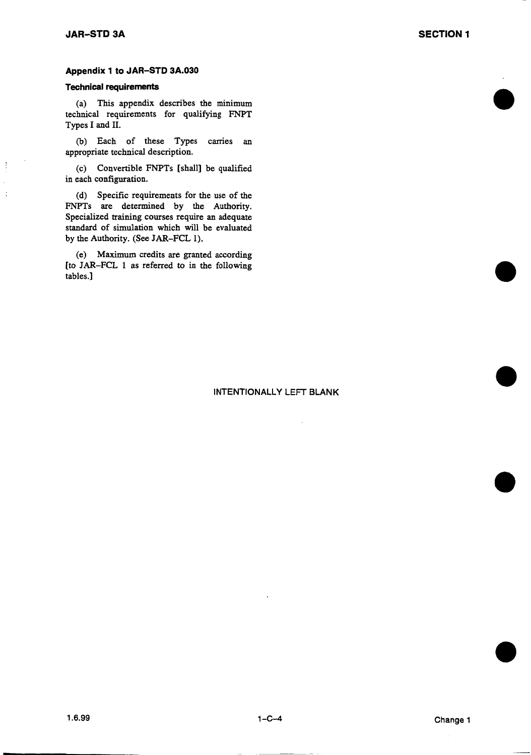$\ddot{\cdot}$ 

 $\ddot{\cdot}$ 

### **Appendix 1 to JAR-STD 3A.030**

## **Technical requirements**

This appendix describes the minimum (a) technical requirements for qualifymg FNPT Types I and **11.** 

**(b)** Each of these Types carries an appropriate technical description.

(c) Convertible **FNPTs** [shall] be qualified in each configuration.

(d) Specific requirements for the use of the FNPTs **are** determined by the Authority. Specialized **training** courses require **an** adequate standard of simulation which will be evaluated **by** the Authority. (See **JAR-FCL** 1).

(e) Maximum credits *are* granted according [to **JAR-FCL** 1 *as* referred to in the following tables.]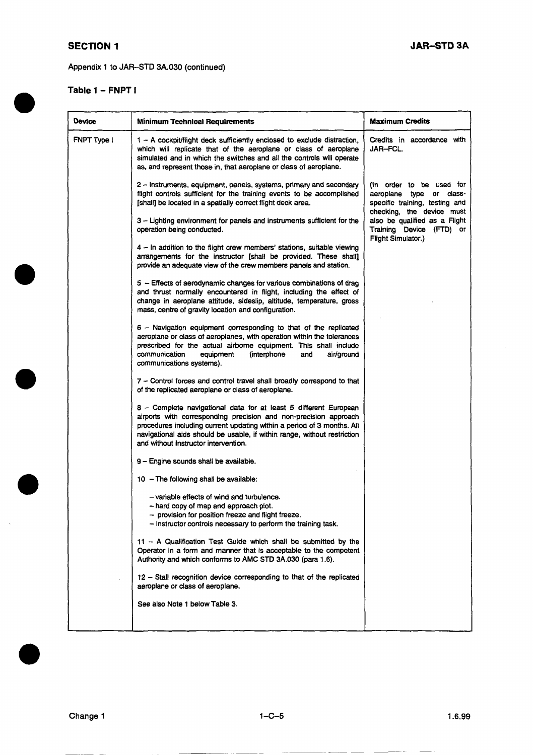**Appendix** 1 **to JAR-STD 3A.030 (continued)** 

# **Table <sup>1</sup>**- **FNPT <sup>I</sup>**

| Device             | <b>Minimum Technical Requirements</b>                                                                                                                                                                                                                                                                                              | <b>Maximum Credits</b>                                                                                              |
|--------------------|------------------------------------------------------------------------------------------------------------------------------------------------------------------------------------------------------------------------------------------------------------------------------------------------------------------------------------|---------------------------------------------------------------------------------------------------------------------|
| <b>FNPT Type I</b> | $1 - A$ cockpit/flight deck sufficiently enclosed to exclude distraction,<br>which will replicate that of the aeroplane or class of aeroplane<br>simulated and in which the switches and all the controls will operate<br>as, and represent those in, that aeroplane or class of aeroplane.                                        | Credits in accordance with<br>JAR-FCL.                                                                              |
|                    | 2 - Instruments, equipment, panels, systems, primary and secondary<br>flight controls sufficient for the training events to be accomplished<br>[shall] be located in a spatially correct flight deck area.                                                                                                                         | (in order to be used for<br>aeroplane type or class-<br>specific training, testing and<br>checking, the device must |
|                    | 3 - Lighting environment for panels and instruments sufficient for the<br>operation being conducted.                                                                                                                                                                                                                               | also be qualified as a Flight<br>Training Device (FTD) or<br>Flight Simulator.)                                     |
|                    | $4 -$ in addition to the flight crew members' stations, suitable viewing<br>arrangements for the instructor [shall be provided. These shall]<br>provide an adequate view of the crew members panels and station.                                                                                                                   |                                                                                                                     |
|                    | $5$ – Effects of aerodynamic changes for various combinations of drag<br>and thrust normally encountered in flight, including the effect of<br>change in aeroplane attitude, sideslip, altitude, temperature, gross<br>mass, centre of gravity location and configuration.                                                         |                                                                                                                     |
|                    | 6 - Navigation equipment corresponding to that of the replicated<br>aeroplane or class of aeroplanes, with operation within the tolerances<br>prescribed for the actual airborne equipment. This shall include<br>communication<br>equipment<br>(interphone<br>and<br>air/ground<br>communications systems).                       |                                                                                                                     |
|                    | 7 - Control forces and control travel shall broadly correspond to that<br>of the replicated aeroplane or class of aeroplane.                                                                                                                                                                                                       |                                                                                                                     |
|                    | 8 - Complete navigational data for at least 5 different European<br>airports with corresponding precision and non-precision approach<br>procedures including current updating within a period of 3 months. All<br>navigational aids should be usable, if within range, without restriction<br>and without Instructor intervention. |                                                                                                                     |
|                    | 9 - Engine sounds shall be available.                                                                                                                                                                                                                                                                                              |                                                                                                                     |
|                    | 10 - The following shall be available:                                                                                                                                                                                                                                                                                             |                                                                                                                     |
|                    | - variable effects of wind and turbulence.<br>- hard copy of map and approach plot.<br>- provision for position freeze and flight freeze.<br>- Instructor controls necessary to perform the training task.                                                                                                                         |                                                                                                                     |
|                    | 11 - A Qualification Test Guide which shall be submitted by the<br>Operator in a form and manner that is acceptable to the competent<br>Authority and which conforms to AMC STD 3A.030 (para 1.6).                                                                                                                                 |                                                                                                                     |
|                    | 12 - Stall recognition device corresponding to that of the replicated<br>aeroplane or class of aeroplane.                                                                                                                                                                                                                          |                                                                                                                     |
|                    | See also Note 1 below Table 3.                                                                                                                                                                                                                                                                                                     |                                                                                                                     |

 $\frac{1}{2}$ 

 $\overline{\phantom{0}}$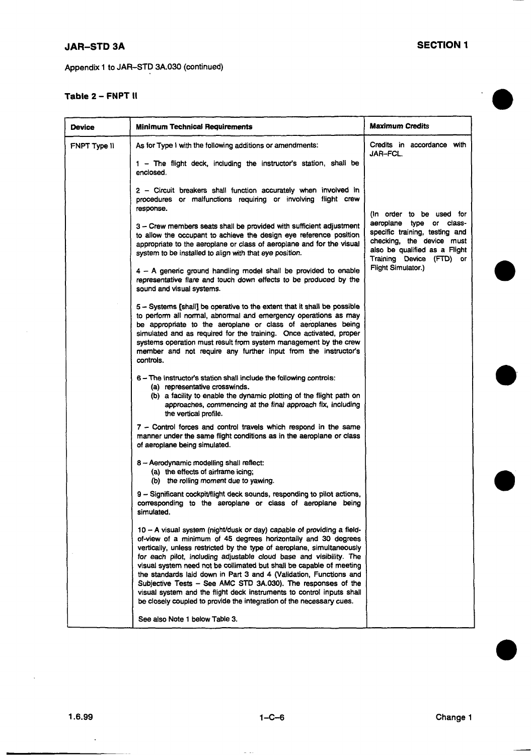Appendix 1 to JAR-STD 3A.030 (continued)

# **SECTION 1**

# **Table 2** - **FNPT II**

| <b>Device</b>       | <b>Minimum Technical Requirements</b>                                                                                                                                                                                                                                                                                                                                                                                                                                                                                                                                                                                                                    | Maximum Credits                                                                                                                                                                                                                                  |
|---------------------|----------------------------------------------------------------------------------------------------------------------------------------------------------------------------------------------------------------------------------------------------------------------------------------------------------------------------------------------------------------------------------------------------------------------------------------------------------------------------------------------------------------------------------------------------------------------------------------------------------------------------------------------------------|--------------------------------------------------------------------------------------------------------------------------------------------------------------------------------------------------------------------------------------------------|
| <b>FNPT Type II</b> | As for Type I with the following additions or amendments:                                                                                                                                                                                                                                                                                                                                                                                                                                                                                                                                                                                                | Credits in accordance with<br>JAR-FCL.<br>(in order to be used for<br>aeroplane type or class-<br>specific training, testing and<br>checking, the device must<br>also be qualified as a Flight<br>Training Device (FTD) or<br>Flight Simulator.) |
|                     | 1 - The flight deck, including the instructor's station, shall be<br>enclosed.                                                                                                                                                                                                                                                                                                                                                                                                                                                                                                                                                                           |                                                                                                                                                                                                                                                  |
|                     | 2 - Circuit breakers shall function accurately when involved in<br>procedures or malfunctions requiring or involving flight crew<br>response.                                                                                                                                                                                                                                                                                                                                                                                                                                                                                                            |                                                                                                                                                                                                                                                  |
|                     | 3 – Crew members seats shall be provided with sufficient adjustment<br>to allow the occupant to achieve the design eye reference position<br>appropriate to the aeroplane or class of aeroplane and for the visual<br>system to be installed to align with that eye position.                                                                                                                                                                                                                                                                                                                                                                            |                                                                                                                                                                                                                                                  |
|                     | $4 - A$ generic ground handling model shall be provided to enable<br>representative flare and touch down effects to be produced by the<br>sound and visual systems.                                                                                                                                                                                                                                                                                                                                                                                                                                                                                      |                                                                                                                                                                                                                                                  |
|                     | $5 -$ Systems (shall) be operative to the extent that it shall be possible<br>to perform all normal, abnormal and emergency operations as may<br>be appropriate to the aeroplane or class of aeroplanes being<br>simulated and as required for the training. Once activated, proper<br>systems operation must result from system management by the crew<br>member and not require any further input from the instructor's<br>controls.                                                                                                                                                                                                                   |                                                                                                                                                                                                                                                  |
|                     | 6 – The Instructor's station shall include the following controls:<br>(a) representative crosswinds.<br>(b) a facility to enable the dynamic plotting of the flight path on<br>approaches, commencing at the final approach fix, including<br>the vertical profile.                                                                                                                                                                                                                                                                                                                                                                                      |                                                                                                                                                                                                                                                  |
|                     | 7 - Control forces and control travels which respond in the same<br>manner under the same flight conditions as in the aeroplane or class<br>of aeroplane being simulated.                                                                                                                                                                                                                                                                                                                                                                                                                                                                                |                                                                                                                                                                                                                                                  |
|                     | 8 - Aerodynamic modelling shall reflect:<br>(a) the effects of airframe icing;<br>(b) the rolling moment due to yawing.                                                                                                                                                                                                                                                                                                                                                                                                                                                                                                                                  |                                                                                                                                                                                                                                                  |
|                     | 9 - Significant cockpit/flight deck sounds, responding to pilot actions,<br>corresponding to the aeroplane or class of aeroplane being<br>simulated.                                                                                                                                                                                                                                                                                                                                                                                                                                                                                                     |                                                                                                                                                                                                                                                  |
|                     | 10 - A visual system (night/dusk or day) capable of providing a field-<br>of-view of a minimum of 45 degrees horizontally and 30 degrees<br>vertically, unless restricted by the type of aeroplane, simultaneously<br>for each pilot, including adjustable cloud base and visibility. The<br>visual system need not be collimated but shall be capable of meeting<br>the standards laid down in Part 3 and 4 (Validation, Functions and<br>Subjective Tests - See AMC STD 3A.030). The responses of the<br>visual system and the flight deck instruments to control inputs shall<br>be closely coupled to provide the integration of the necessary cues. |                                                                                                                                                                                                                                                  |
|                     | See also Note 1 below Table 3.                                                                                                                                                                                                                                                                                                                                                                                                                                                                                                                                                                                                                           |                                                                                                                                                                                                                                                  |

 $\mathcal{L}_{\mathcal{A}}$ 

 $\ddot{\phantom{0}}$ 

 $\omega_{\rm c} = \omega_{\rm c}$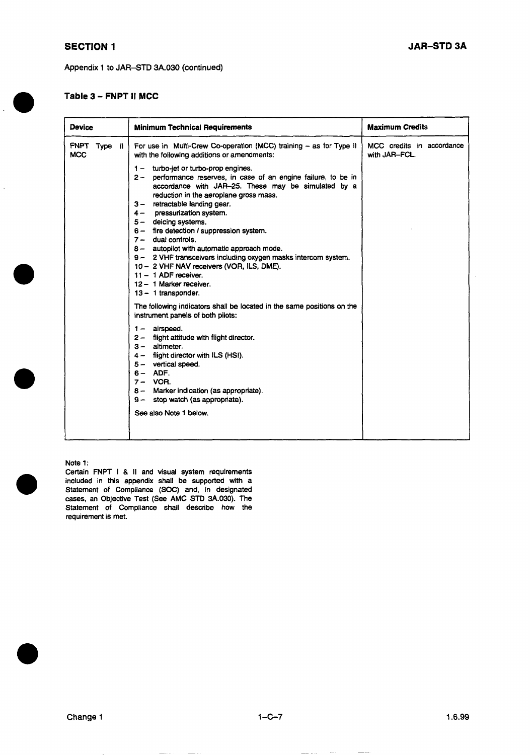Appendix 1 to **JAR-STD** 3A.030 (continued)

## **Table 3** - **FNPT II MCC**

| Device                               | <b>Minimum Technical Requirements</b>                                                                                                                                                                                                                                                                                                                                                                                                                                 | <b>Maximum Credits</b>                     |
|--------------------------------------|-----------------------------------------------------------------------------------------------------------------------------------------------------------------------------------------------------------------------------------------------------------------------------------------------------------------------------------------------------------------------------------------------------------------------------------------------------------------------|--------------------------------------------|
| <b>FNPT</b><br>Type II<br><b>MCC</b> | For use in Multi-Crew Co-operation (MCC) training - as for Type II<br>with the following additions or amendments:<br>1 - turbo-jet or turbo-prop engines.<br>2 - performance reserves, in case of an engine failure, to be in<br>accordance with JAR-25. These may be simulated by a<br>reduction in the aeroplane gross mass.<br>3 - retractable landing gear.<br>$4 -$ pressurization system.<br>5 - deicing systems.<br>$6 -$ fire detection / suppression system. | MCC credits in accordance<br>with JAR-FCL. |
|                                      | $7 -$ dual controls.<br>8 - autopilot with automatic approach mode.<br>9 - 2 VHF transceivers including oxygen masks intercom system.<br>10 - 2 VHF NAV receivers (VOR, ILS, DME).<br>$11 - 1$ ADF receiver.<br>12 - 1 Marker receiver.<br>13 - 1 transponder.                                                                                                                                                                                                        |                                            |
|                                      | The following indicators shall be located in the same positions on the<br>instrument panels of both pilots:<br>$1 -$ airspeed.<br>$2 -$ flight attitude with flight director.<br>3- altimeter.<br>4 - flight director with ILS (HSI).<br>5- vertical speed.<br>$6 -$ ADF.<br>$7 - VOR$<br>8 - Marker indication (as appropriate).<br>9 - stop watch (as appropriate).<br>See also Note 1 below.                                                                       |                                            |

### Note I:

Certain FNPT **I** *8* **II** and visual system requirements included in this appendix shall be supported with a Statement of Compliance (SOC) and, in designated cases, an Objective Test **(See** AMC **STD** 3A.030). The Statement of Compliance shall describe how the requirement is met.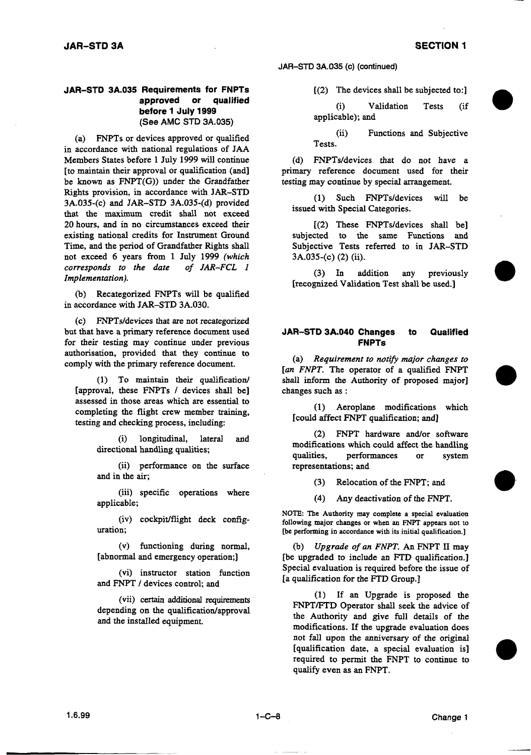### JAR-STD **3A.035** (c) (continued)

**JAR-STD 3A.035 Requirements for FNPTs approved or qualified before 1 July 1999 (See AMC STD 3A.035)** 

(a) EWPTs or devices approved or qualified in accordance with national regulations of JAA Members States before 1 July 1999 will continue [to maintain their approval or qualification (and] be known as FNPT(G)) under the Grandfather Rights provision, in accordance with JAR-STD 3A.O35-(c) and JAR-STD 3A.O35-(d) provided that the maximum credit shall not exceed 20 hours, and in **no** circumstances exceed their existing national credits for Instrument Ground Time, and the period of Grandfather Rights shall **not** exceed 6 years from 1 July 1999 *(which corresponds to the date Implementation).* 

Recategorized **FNPTs** will be qualified in accordance with JAR-STD 3A.030. (b)

(c) FNPTs/devices that are not recategorized but that have a primary reference document used for their testing may continue under previous authorisation, provided that they continue to comply with the primary reference document.

**(1)** To **maintain** their qualification/ [approval, these FNPTs / devices shall be] assessed **in** those areas which are essential to completing the flight crew member training, testing and checking process, including:

> (i) longitudinal, lateral and directional handling qualities;

(ii) performance **on** the surface and in the *air;* 

(iii) specific operations where applicable;

(iv) cockpit/flight deck configuration;

**(v)** functioning during **normal,**  [abnormal and emergency operation:]

(vi) instructor station function and FNPT / devices control; and

(vii) certain *additionai* requirements depending on the qualification/approval and the installed equipment.

[(2) The devices shall be subjected to:]

(i) Validation Tests (if applicable); and

Tests. (ii) Functions and Subjective

(d) FNPTs/devices that do not have a primary reference document used for their testing may continue by special arrangement.

(1) Such FNPTs/devices will be issued with Special Categories.

**[(2)** These FNPTs/devices shall be] subjected to the same Functions and Subjective Tests referred to in **JAR-STD**  3A.Ö35-(c) **(2)** (Ü).

[recognized Validation Test shall be used.] (3) In addition any previously

### **JAR-STD 3A.040 Changes to Qualified FNPTs**

*Requirement to notify major changes to*  (a) *[an FNPT.* The operator of a qualified FNPT shall inform **the Authority of** proposed major] changes such as :

(1) Aeroplane modifications which [could affect FNPT qualification; and]

(2) FNPT hardware and/or software modifications which could affect the handling qualities, performances or system representations; and

(3) Relocation of the FNPT; and

**(4)** Any deactivation of the FNPT.

**NOTE: The Authority may complete a special evaluation**  following major changes or when an FNPT appears not to **[be performing in accordance with its initial qualification.]** 

(b) *Upgrade of an FNPT. An* FNPT I1 may [be upgraded to include an **FTD** qualification.] Special evaluation is required before the issue of **[a** qualification for the MI) Group. **<sup>J</sup>**

**(1)** If an Upgrade is proposed the FNPT/FTD Operator shall seek the advice of the Authority and give full details of the modifications. If the upgrade evaluation does not fall upon the anniversary of the original [qualification date, a special evaluation is] required to permit the FNPT to continue to qualifj even as **an** FNPT.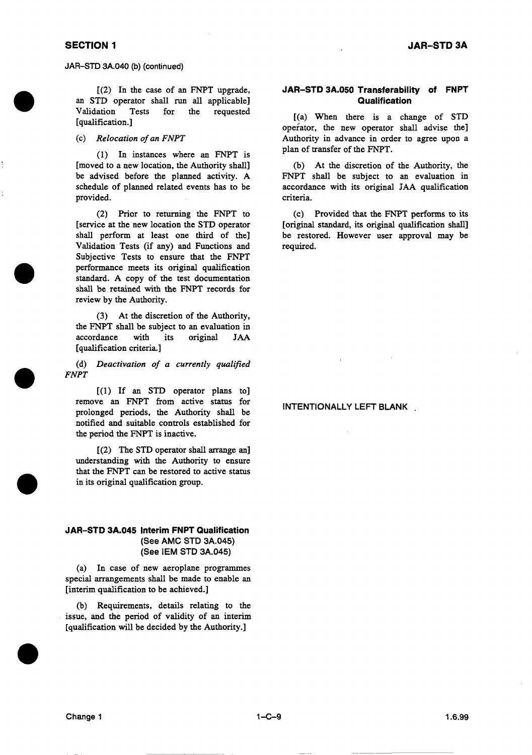**e** 

JAR-STD 3A.040 (b) (continued)

[(2) In the case of an FNPT upgrade, **an** STD operator shall run all applicable] Validation Tests [qualification.]

(c) *Relocation of an FNPT* 

(1) **In** instances where an FNPT is [moved to a new location, the Authority shall] be advised before the planned activity. A schedule of planned related events has to be provided.

(2) Prior to returning the FNPT to [service at the new location the STD operator shall perform at least one third of the] Validation Tests (if any) and Functions and Subjective Tests to ensure that the FNPT performance meets its original qualification standard. A copy of the test documentation shall be retained with the FNPT records for review by the Authority.

At the discretion of the Authority, **(3)**  the FNPT shall be subject to an evaluation in<br>accordance with its original JAA accordance [qualification criteria.]

(d) *Deactivation of a currently qualified FNPT* 

[(1) If an **STD** operator plans to] remove an FNPT from active status for prolonged periods, the Authority shall be notified and suitable controls established for the period the FNPT is inactive.

**[(2)** The **STD** operator shail arrange an] understanding with the Authority to ensure that the FNPT can be restored to active status in its original qualification group.

### **JAR-STD 3A.045 interim FNPT Qualification**  (See AMC STD 3A.045) (See IEM STD 3A.045)

(a) In case of new aeroplane programmes special arrangements shall be made to enable an [interim qualification to be achieved.]

(b) Requirements, details relating to the issue, and the period of validity of **an** interim [qualification will be decided by the Authority.]

## **JAR-STD 3A.050 Transferability of FNPT Qualification**

[(a) When there is **a** change of STD operator, the new operator shall advise the] Authority in advance in order to agree upon a plan of transfer of the FNPT.

(b) At the discretion of the Authority, the FNPT shall be subject to an evaluation in accordance with its original JAA qualification criteria.

(c) Provided that the FNPT performs to its [original standard, its original qualification shall] be restored. However user approval may be required.